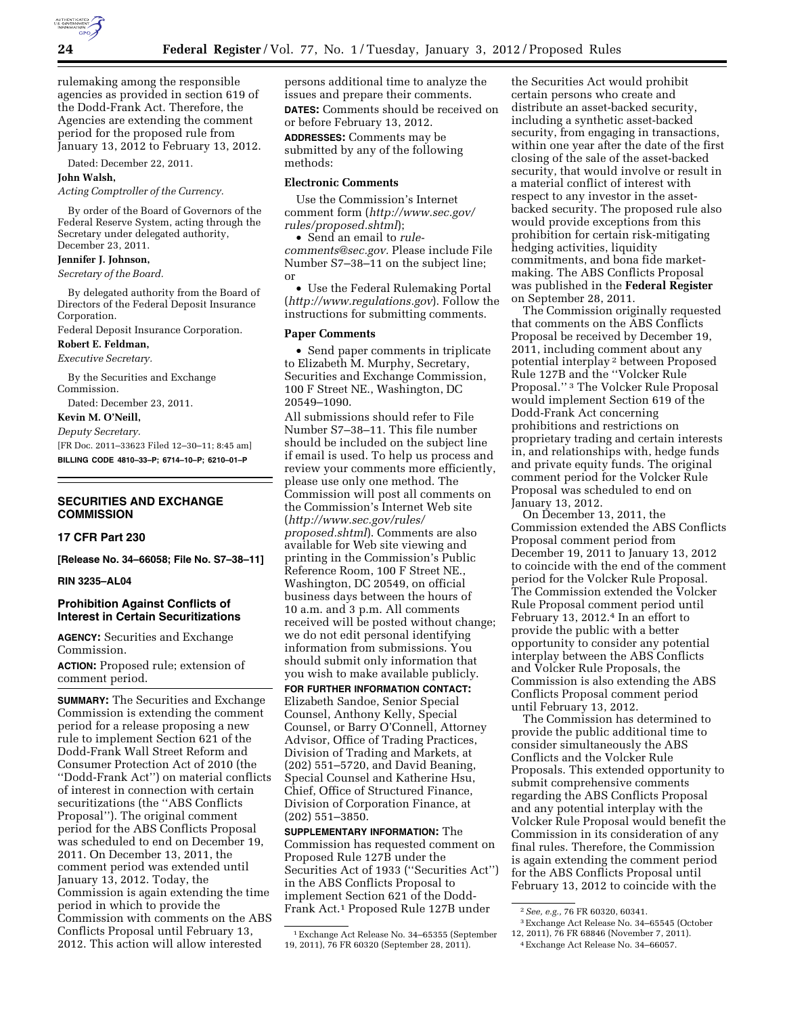

rulemaking among the responsible agencies as provided in section 619 of the Dodd-Frank Act. Therefore, the Agencies are extending the comment period for the proposed rule from January 13, 2012 to February 13, 2012.

Dated: December 22, 2011.

# **John Walsh,**

*Acting Comptroller of the Currency.* 

By order of the Board of Governors of the Federal Reserve System, acting through the Secretary under delegated authority, December 23, 2011.

### **Jennifer J. Johnson,**

*Secretary of the Board.* 

By delegated authority from the Board of Directors of the Federal Deposit Insurance Corporation.

Federal Deposit Insurance Corporation.

**Robert E. Feldman,** 

*Executive Secretary.* 

By the Securities and Exchange Commission.

Dated: December 23, 2011.

**Kevin M. O'Neill,** 

*Deputy Secretary.* 

[FR Doc. 2011–33623 Filed 12–30–11; 8:45 am] **BILLING CODE 4810–33–P; 6714–10–P; 6210–01–P** 

# **SECURITIES AND EXCHANGE COMMISSION**

# **17 CFR Part 230**

**[Release No. 34–66058; File No. S7–38–11]** 

#### **RIN 3235–AL04**

# **Prohibition Against Conflicts of Interest in Certain Securitizations**

**AGENCY:** Securities and Exchange Commission.

**ACTION:** Proposed rule; extension of comment period.

**SUMMARY:** The Securities and Exchange Commission is extending the comment period for a release proposing a new rule to implement Section 621 of the Dodd-Frank Wall Street Reform and Consumer Protection Act of 2010 (the ''Dodd-Frank Act'') on material conflicts of interest in connection with certain securitizations (the ''ABS Conflicts Proposal''). The original comment period for the ABS Conflicts Proposal was scheduled to end on December 19, 2011. On December 13, 2011, the comment period was extended until January 13, 2012. Today, the Commission is again extending the time period in which to provide the Commission with comments on the ABS Conflicts Proposal until February 13, 2012. This action will allow interested

persons additional time to analyze the issues and prepare their comments. **DATES:** Comments should be received on or before February 13, 2012.

**ADDRESSES:** Comments may be submitted by any of the following methods:

# **Electronic Comments**

Use the Commission's Internet comment form (*[http://www.sec.gov/](http://www.sec.gov/rules/proposed.shtml)  [rules/proposed.shtml](http://www.sec.gov/rules/proposed.shtml)*);

• Send an email to *[rule](mailto:rule-comments@sec.gov)[comments@sec.gov.](mailto:rule-comments@sec.gov)* Please include File Number S7–38–11 on the subject line; or

• Use the Federal Rulemaking Portal (*<http://www.regulations.gov>*). Follow the instructions for submitting comments.

#### **Paper Comments**

• Send paper comments in triplicate to Elizabeth M. Murphy, Secretary, Securities and Exchange Commission, 100 F Street NE., Washington, DC 20549–1090.

All submissions should refer to File Number S7–38–11. This file number should be included on the subject line if email is used. To help us process and review your comments more efficiently, please use only one method. The Commission will post all comments on the Commission's Internet Web site (*[http://www.sec.gov/rules/](http://www.sec.gov/rules/proposed.shtml) [proposed.shtml](http://www.sec.gov/rules/proposed.shtml)*). Comments are also available for Web site viewing and printing in the Commission's Public Reference Room, 100 F Street NE., Washington, DC 20549, on official business days between the hours of 10 a.m. and 3 p.m. All comments received will be posted without change; we do not edit personal identifying information from submissions. You should submit only information that you wish to make available publicly.

**FOR FURTHER INFORMATION CONTACT:**  Elizabeth Sandoe, Senior Special Counsel, Anthony Kelly, Special Counsel, or Barry O'Connell, Attorney Advisor, Office of Trading Practices, Division of Trading and Markets, at (202) 551–5720, and David Beaning, Special Counsel and Katherine Hsu, Chief, Office of Structured Finance, Division of Corporation Finance, at (202) 551–3850.

**SUPPLEMENTARY INFORMATION:** The Commission has requested comment on Proposed Rule 127B under the Securities Act of 1933 (''Securities Act'') in the ABS Conflicts Proposal to implement Section 621 of the Dodd-Frank Act.1 Proposed Rule 127B under

the Securities Act would prohibit certain persons who create and distribute an asset-backed security, including a synthetic asset-backed security, from engaging in transactions, within one year after the date of the first closing of the sale of the asset-backed security, that would involve or result in a material conflict of interest with respect to any investor in the assetbacked security. The proposed rule also would provide exceptions from this prohibition for certain risk-mitigating hedging activities, liquidity commitments, and bona fide marketmaking. The ABS Conflicts Proposal was published in the **Federal Register**  on September 28, 2011.

The Commission originally requested that comments on the ABS Conflicts Proposal be received by December 19, 2011, including comment about any potential interplay 2 between Proposed Rule 127B and the ''Volcker Rule Proposal.'' 3 The Volcker Rule Proposal would implement Section 619 of the Dodd-Frank Act concerning prohibitions and restrictions on proprietary trading and certain interests in, and relationships with, hedge funds and private equity funds. The original comment period for the Volcker Rule Proposal was scheduled to end on January 13, 2012.

On December 13, 2011, the Commission extended the ABS Conflicts Proposal comment period from December 19, 2011 to January 13, 2012 to coincide with the end of the comment period for the Volcker Rule Proposal. The Commission extended the Volcker Rule Proposal comment period until February 13, 2012.4 In an effort to provide the public with a better opportunity to consider any potential interplay between the ABS Conflicts and Volcker Rule Proposals, the Commission is also extending the ABS Conflicts Proposal comment period until February 13, 2012.

The Commission has determined to provide the public additional time to consider simultaneously the ABS Conflicts and the Volcker Rule Proposals. This extended opportunity to submit comprehensive comments regarding the ABS Conflicts Proposal and any potential interplay with the Volcker Rule Proposal would benefit the Commission in its consideration of any final rules. Therefore, the Commission is again extending the comment period for the ABS Conflicts Proposal until February 13, 2012 to coincide with the

<sup>1</sup>Exchange Act Release No. 34–65355 (September 19, 2011), 76 FR 60320 (September 28, 2011).

<sup>2</sup>*See, e.g.,* 76 FR 60320, 60341.

<sup>3</sup>Exchange Act Release No. 34–65545 (October 12, 2011), 76 FR 68846 (November 7, 2011).

<sup>4</sup>Exchange Act Release No. 34–66057.